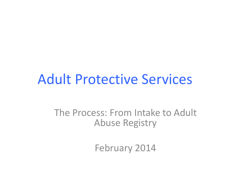#### Adult Protective Services

The Process: From Intake to Adult Abuse Registry

February 2014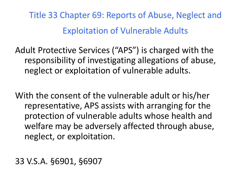Title 33 Chapter 69: Reports of Abuse, Neglect and Exploitation of Vulnerable Adults

Adult Protective Services ("APS") is charged with the responsibility of investigating allegations of abuse, neglect or exploitation of vulnerable adults.

With the consent of the vulnerable adult or his/her representative, APS assists with arranging for the protection of vulnerable adults whose health and welfare may be adversely affected through abuse, neglect, or exploitation.

33 V.S.A. §6901, §6907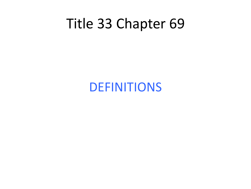#### Title 33 Chapter 69

DEFINITIONS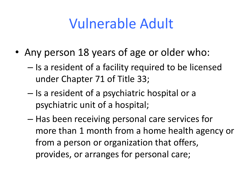## Vulnerable Adult

- Any person 18 years of age or older who:
	- Is a resident of a facility required to be licensed under Chapter 71 of Title 33;
	- Is a resident of a psychiatric hospital or a psychiatric unit of a hospital;
	- Has been receiving personal care services for more than 1 month from a home health agency or from a person or organization that offers, provides, or arranges for personal care;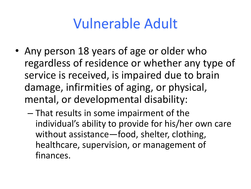## Vulnerable Adult

- Any person 18 years of age or older who regardless of residence or whether any type of service is received, is impaired due to brain damage, infirmities of aging, or physical, mental, or developmental disability:
	- That results in some impairment of the individual's ability to provide for his/her own care without assistance—food, shelter, clothing, healthcare, supervision, or management of finances.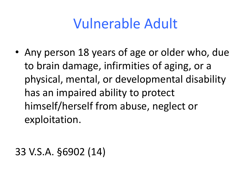## Vulnerable Adult

• Any person 18 years of age or older who, due to brain damage, infirmities of aging, or a physical, mental, or developmental disability has an impaired ability to protect himself/herself from abuse, neglect or exploitation.

33 V.S.A. §6902 (14)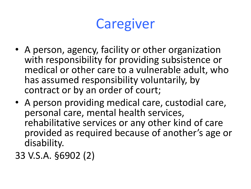## **Caregiver**

- A person, agency, facility or other organization with responsibility for providing subsistence or medical or other care to a vulnerable adult, who has assumed responsibility voluntarily, by contract or by an order of court;
- A person providing medical care, custodial care, personal care, mental health services, rehabilitative services or any other kind of care provided as required because of another's age or disability.
- 33 V.S.A. §6902 (2)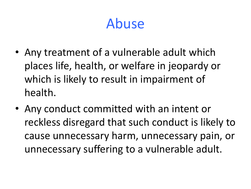#### Abuse

- Any treatment of a vulnerable adult which places life, health, or welfare in jeopardy or which is likely to result in impairment of health.
- Any conduct committed with an intent or reckless disregard that such conduct is likely to cause unnecessary harm, unnecessary pain, or unnecessary suffering to a vulnerable adult.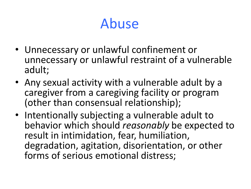## Abuse

- Unnecessary or unlawful confinement or unnecessary or unlawful restraint of a vulnerable adult;
- Any sexual activity with a vulnerable adult by a caregiver from a caregiving facility or program (other than consensual relationship);
- Intentionally subjecting a vulnerable adult to behavior which should *reasonably* be expected to result in intimidation, fear, humiliation, degradation, agitation, disorientation, or other forms of serious emotional distress;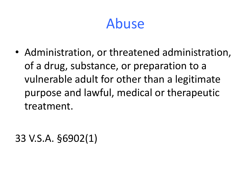#### Abuse

• Administration, or threatened administration, of a drug, substance, or preparation to a vulnerable adult for other than a legitimate purpose and lawful, medical or therapeutic treatment.

33 V.S.A. §6902(1)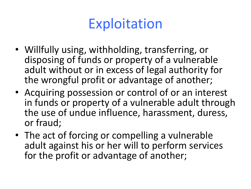## **Exploitation**

- Willfully using, withholding, transferring, or disposing of funds or property of a vulnerable adult without or in excess of legal authority for the wrongful profit or advantage of another;
- Acquiring possession or control of or an interest in funds or property of a vulnerable adult through the use of undue influence, harassment, duress, or fraud;
- The act of forcing or compelling a vulnerable adult against his or her will to perform services for the profit or advantage of another;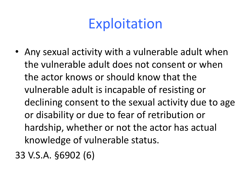## Exploitation

• Any sexual activity with a vulnerable adult when the vulnerable adult does not consent or when the actor knows or should know that the vulnerable adult is incapable of resisting or declining consent to the sexual activity due to age or disability or due to fear of retribution or hardship, whether or not the actor has actual knowledge of vulnerable status.

33 V.S.A. §6902 (6)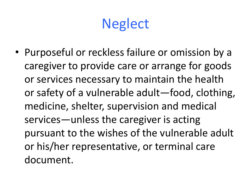• Purposeful or reckless failure or omission by a caregiver to provide care or arrange for goods or services necessary to maintain the health or safety of a vulnerable adult—food, clothing, medicine, shelter, supervision and medical services—unless the caregiver is acting pursuant to the wishes of the vulnerable adult or his/her representative, or terminal care document.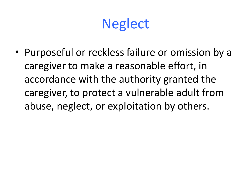• Purposeful or reckless failure or omission by a caregiver to make a reasonable effort, in accordance with the authority granted the caregiver, to protect a vulnerable adult from abuse, neglect, or exploitation by others.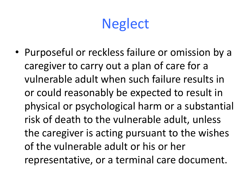• Purposeful or reckless failure or omission by a caregiver to carry out a plan of care for a vulnerable adult when such failure results in or could reasonably be expected to result in physical or psychological harm or a substantial risk of death to the vulnerable adult, unless the caregiver is acting pursuant to the wishes of the vulnerable adult or his or her representative, or a terminal care document.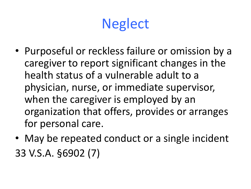- Purposeful or reckless failure or omission by a caregiver to report significant changes in the health status of a vulnerable adult to a physician, nurse, or immediate supervisor, when the caregiver is employed by an organization that offers, provides or arranges for personal care.
- May be repeated conduct or a single incident 33 V.S.A. §6902 (7)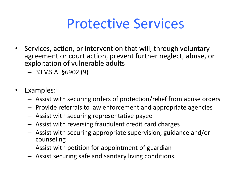#### Protective Services

- Services, action, or intervention that will, through voluntary agreement or court action, prevent further neglect, abuse, or exploitation of vulnerable adults
	- $-$  33 V.S.A. §6902 (9)
- Examples:
	- Assist with securing orders of protection/relief from abuse orders
	- Provide referrals to law enforcement and appropriate agencies
	- Assist with securing representative payee
	- Assist with reversing fraudulent credit card charges
	- Assist with securing appropriate supervision, guidance and/or counseling
	- Assist with petition for appointment of guardian
	- Assist securing safe and sanitary living conditions.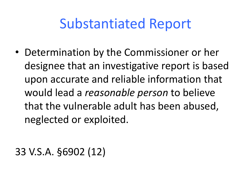#### Substantiated Report

• Determination by the Commissioner or her designee that an investigative report is based upon accurate and reliable information that would lead a *reasonable person* to believe that the vulnerable adult has been abused, neglected or exploited.

33 V.S.A. §6902 (12)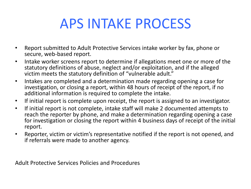## APS INTAKE PROCESS

- Report submitted to Adult Protective Services intake worker by fax, phone or secure, web-based report.
- Intake worker screens report to determine if allegations meet one or more of the statutory definitions of abuse, neglect and/or exploitation, and if the alleged victim meets the statutory definition of "vulnerable adult."
- Intakes are completed and a determination made regarding opening a case for investigation, or closing a report, within 48 hours of receipt of the report, if no additional information is required to complete the intake.
- If initial report is complete upon receipt, the report is assigned to an investigator.
- If initial report is not complete, intake staff will make 2 documented attempts to reach the reporter by phone, and make a determination regarding opening a case for investigation or closing the report within 4 business days of receipt of the initial report.
- Reporter, victim or victim's representative notified if the report is not opened, and if referrals were made to another agency.

Adult Protective Services Policies and Procedures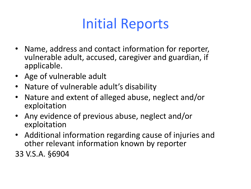## Initial Reports

- Name, address and contact information for reporter, vulnerable adult, accused, caregiver and guardian, if applicable.
- Age of vulnerable adult
- Nature of vulnerable adult's disability
- Nature and extent of alleged abuse, neglect and/or exploitation
- Any evidence of previous abuse, neglect and/or exploitation
- Additional information regarding cause of injuries and other relevant information known by reporter

33 V.S.A. §6904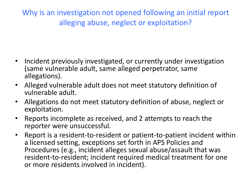Why is an investigation not opened following an initial report alleging abuse, neglect or exploitation?

- Incident previously investigated, or currently under investigation (same vulnerable adult, same alleged perpetrator, same allegations).
- Alleged vulnerable adult does not meet statutory definition of vulnerable adult.
- Allegations do not meet statutory definition of abuse, neglect or exploitation.
- Reports incomplete as received, and 2 attempts to reach the reporter were unsuccessful.
- Report is a resident-to-resident or patient-to-patient incident within a licensed setting, exceptions set forth in APS Policies and Procedures (e.g., incident alleges sexual abuse/assault that was resident-to-resident; incident required medical treatment for one or more residents involved in incident).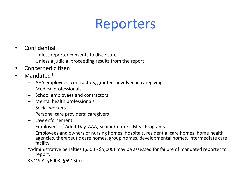### Reporters

- Confidential
	- Unless reporter consents to disclosure
	- Unless a judicial proceeding results from the report
- Concerned citizen
- Mandated\*:
	- AHS employees, contractors, grantees involved in caregiving
	- Medical professionals
	- School employees and contractors
	- Mental health professionals
	- Social workers
	- Personal care providers; caregivers
	- Law enforcement
	- Employees of Adult Day, AAA, Senior Centers, Meal Programs
	- Employees and owners of nursing homes, hospitals, residential care homes, home health agencies, therapeutic care homes, group homes, developmental homes, intermediate care facility
	- \*Administrative penalties (\$500 \$5,000) may be assessed for failure of mandated reporter to report.
	- 33 V.S.A. §6903, §6913(b)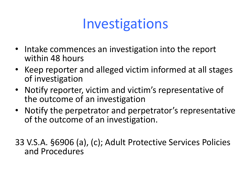## Investigations

- Intake commences an investigation into the report within 48 hours
- Keep reporter and alleged victim informed at all stages of investigation
- Notify reporter, victim and victim's representative of the outcome of an investigation
- Notify the perpetrator and perpetrator's representative of the outcome of an investigation.

33 V.S.A. §6906 (a), (c); Adult Protective Services Policies and Procedures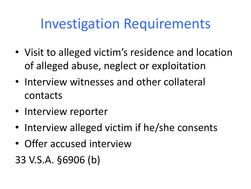## Investigation Requirements

- Visit to alleged victim's residence and location of alleged abuse, neglect or exploitation
- Interview witnesses and other collateral contacts
- Interview reporter
- Interview alleged victim if he/she consents
- Offer accused interview
- 33 V.S.A. §6906 (b)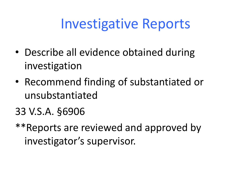### Investigative Reports

- Describe all evidence obtained during investigation
- Recommend finding of substantiated or unsubstantiated
- 33 V.S.A. §6906

\*\*Reports are reviewed and approved by investigator's supervisor.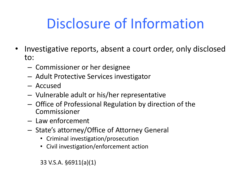# Disclosure of Information

- Investigative reports, absent a court order, only disclosed to:
	- Commissioner or her designee
	- Adult Protective Services investigator
	- Accused
	- Vulnerable adult or his/her representative
	- Office of Professional Regulation by direction of the Commissioner
	- Law enforcement
	- State's attorney/Office of Attorney General
		- Criminal investigation/prosecution
		- Civil investigation/enforcement action

33 V.S.A. §6911(a)(1)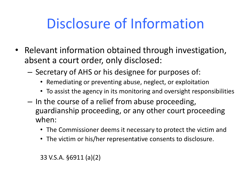# Disclosure of Information

- Relevant information obtained through investigation, absent a court order, only disclosed:
	- Secretary of AHS or his designee for purposes of:
		- Remediating or preventing abuse, neglect, or exploitation
		- To assist the agency in its monitoring and oversight responsibilities
	- In the course of a relief from abuse proceeding, guardianship proceeding, or any other court proceeding when:
		- The Commissioner deems it necessary to protect the victim and
		- The victim or his/her representative consents to disclosure.

33 V.S.A. §6911 (a)(2)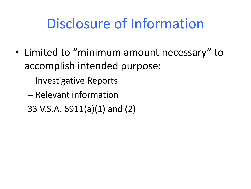## Disclosure of Information

- Limited to "minimum amount necessary" to accomplish intended purpose:
	- Investigative Reports
	- Relevant information
	- 33 V.S.A. 6911(a)(1) and (2)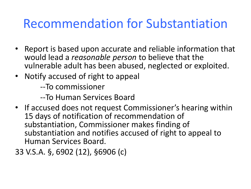#### Recommendation for Substantiation

- Report is based upon accurate and reliable information that would lead a *reasonable person* to believe that the vulnerable adult has been abused, neglected or exploited.
- Notify accused of right to appeal

--To commissioner

--To Human Services Board

- If accused does not request Commissioner's hearing within 15 days of notification of recommendation of substantiation, Commissioner makes finding of substantiation and notifies accused of right to appeal to Human Services Board.
- 33 V.S.A. §, 6902 (12), §6906 (c)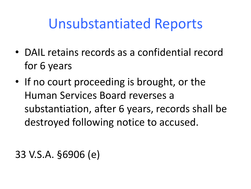#### Unsubstantiated Reports

- DAIL retains records as a confidential record for 6 years
- If no court proceeding is brought, or the Human Services Board reverses a substantiation, after 6 years, records shall be destroyed following notice to accused.

33 V.S.A. §6906 (e)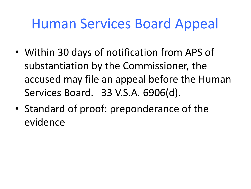#### Human Services Board Appeal

- Within 30 days of notification from APS of substantiation by the Commissioner, the accused may file an appeal before the Human Services Board. 33 V.S.A. 6906(d).
- Standard of proof: preponderance of the evidence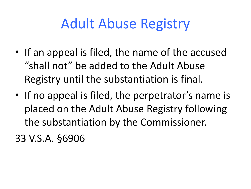## Adult Abuse Registry

- If an appeal is filed, the name of the accused "shall not" be added to the Adult Abuse Registry until the substantiation is final.
- If no appeal is filed, the perpetrator's name is placed on the Adult Abuse Registry following the substantiation by the Commissioner.

33 V.S.A. §6906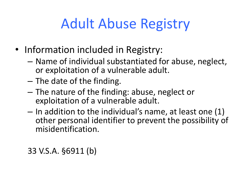# Adult Abuse Registry

- Information included in Registry:
	- Name of individual substantiated for abuse, neglect, or exploitation of a vulnerable adult.
	- The date of the finding.
	- The nature of the finding: abuse, neglect or exploitation of a vulnerable adult.
	- In addition to the individual's name, at least one (1) other personal identifier to prevent the possibility of misidentification.

33 V.S.A. §6911 (b)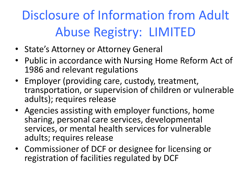# Disclosure of Information from Adult Abuse Registry: LIMITED

- State's Attorney or Attorney General
- Public in accordance with Nursing Home Reform Act of 1986 and relevant regulations
- Employer (providing care, custody, treatment, transportation, or supervision of children or vulnerable adults); requires release
- Agencies assisting with employer functions, home sharing, personal care services, developmental services, or mental health services for vulnerable adults; requires release
- Commissioner of DCF or designee for licensing or registration of facilities regulated by DCF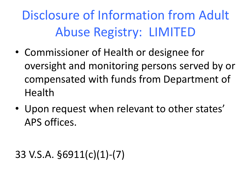Disclosure of Information from Adult Abuse Registry: LIMITED

- Commissioner of Health or designee for oversight and monitoring persons served by or compensated with funds from Department of Health
- Upon request when relevant to other states' APS offices.

#### 33 V.S.A. §6911(c)(1)-(7)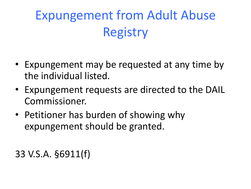# Expungement from Adult Abuse **Registry**

- Expungement may be requested at any time by the individual listed.
- Expungement requests are directed to the DAIL Commissioner.
- Petitioner has burden of showing why expungement should be granted.

33 V.S.A. §6911(f)